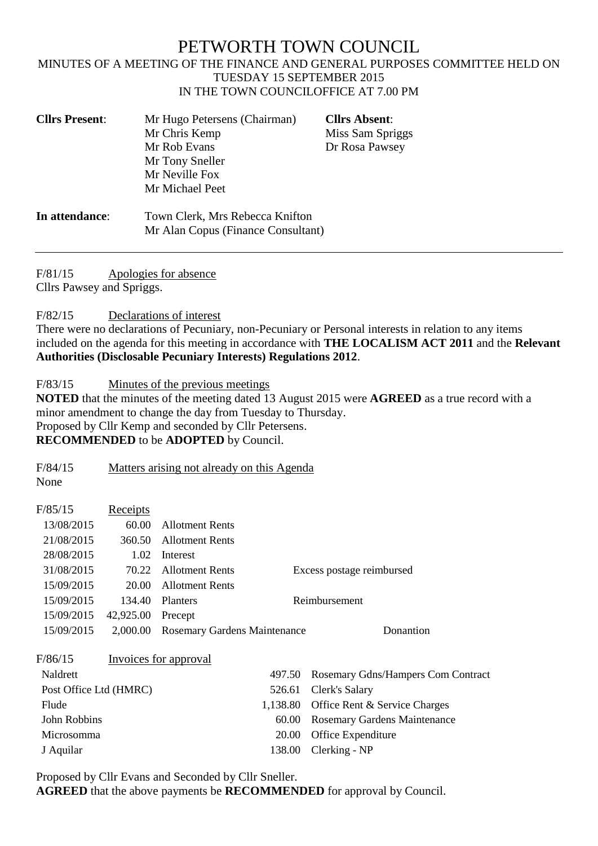# PETWORTH TOWN COUNCIL

#### MINUTES OF A MEETING OF THE FINANCE AND GENERAL PURPOSES COMMITTEE HELD ON TUESDAY 15 SEPTEMBER 2015 IN THE TOWN COUNCILOFFICE AT 7.00 PM

| <b>Cllrs Present:</b> | Mr Hugo Petersens (Chairman)<br>Mr Chris Kemp<br>Mr Rob Evans<br>Mr Tony Sneller<br>Mr Neville Fox<br>Mr Michael Peet | <b>Cllrs Absent:</b><br>Miss Sam Spriggs<br>Dr Rosa Pawsey |
|-----------------------|-----------------------------------------------------------------------------------------------------------------------|------------------------------------------------------------|
| In attendance:        | Town Clerk, Mrs Rebecca Knifton<br>Mr Alan Copus (Finance Consultant)                                                 |                                                            |

F/81/15 Apologies for absence

Cllrs Pawsey and Spriggs.

F/82/15 Declarations of interest

There were no declarations of Pecuniary, non-Pecuniary or Personal interests in relation to any items included on the agenda for this meeting in accordance with **THE LOCALISM ACT 2011** and the **Relevant Authorities (Disclosable Pecuniary Interests) Regulations 2012**.

F/83/15 Minutes of the previous meetings

**NOTED** that the minutes of the meeting dated 13 August 2015 were **AGREED** as a true record with a minor amendment to change the day from Tuesday to Thursday. Proposed by Cllr Kemp and seconded by Cllr Petersens. **RECOMMENDED** to be **ADOPTED** by Council.

F/84/15 Matters arising not already on this Agenda

None

| F/85/15                | Receipts  |                              |                                    |
|------------------------|-----------|------------------------------|------------------------------------|
| 13/08/2015             | 60.00     | <b>Allotment Rents</b>       |                                    |
| 21/08/2015             | 360.50    | <b>Allotment Rents</b>       |                                    |
| 28/08/2015             | 1.02      | Interest                     |                                    |
| 31/08/2015             | 70.22     | <b>Allotment Rents</b>       | Excess postage reimbursed          |
| 15/09/2015             | 20.00     | <b>Allotment Rents</b>       |                                    |
| 15/09/2015             | 134.40    | <b>Planters</b>              | Reimbursement                      |
| 15/09/2015             | 42,925.00 | Precept                      |                                    |
| 15/09/2015             | 2,000.00  | Rosemary Gardens Maintenance | Donantion                          |
| F/86/15                |           | Invoices for approval        |                                    |
| Naldrett               |           | 497.50                       | Rosemary Gdns/Hampers Com Contract |
| Post Office Ltd (HMRC) |           | 526.61                       | Clerk's Salary                     |
| Flude                  |           | 1,138.80                     | Office Rent & Service Charges      |
| John Robbins           |           | 60.00                        | Rosemary Gardens Maintenance       |
| Microsomma             |           | 20.00                        | Office Expenditure                 |
| J Aquilar              |           | 138.00                       | Clerking - NP                      |

Proposed by Cllr Evans and Seconded by Cllr Sneller.

**AGREED** that the above payments be **RECOMMENDED** for approval by Council.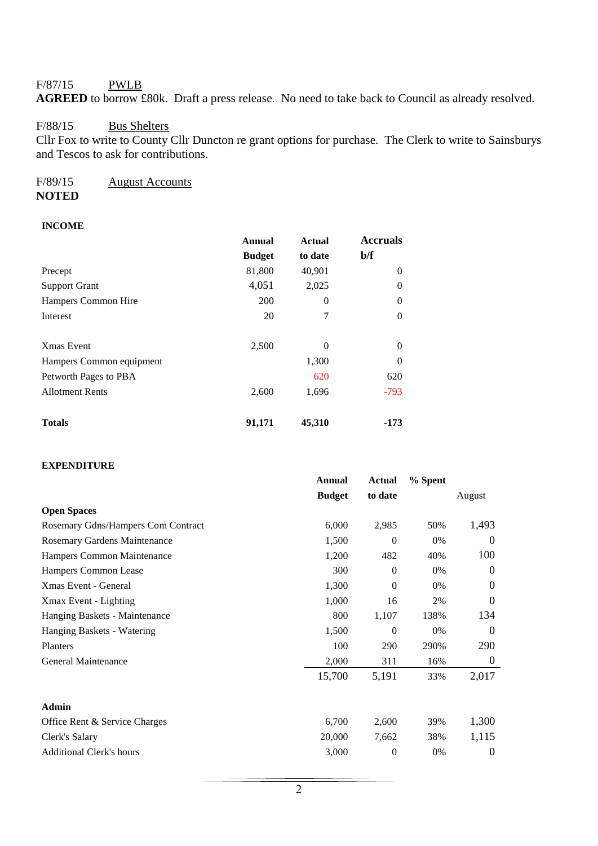## F/87/15 PWLB

**AGREED** to borrow £80k. Draft a press release. No need to take back to Council as already resolved.

# F/88/15 Bus Shelters

Cllr Fox to write to County Cllr Duncton re grant options for purchase. The Clerk to write to Sainsburys and Tescos to ask for contributions.

#### F/89/15 August Accounts **NOTED**

# **INCOME**

|                          | Annual        | <b>Actual</b> | <b>Accruals</b> |
|--------------------------|---------------|---------------|-----------------|
|                          | <b>Budget</b> | to date       | b/f             |
| Precept                  | 81,800        | 40,901        | 0               |
| <b>Support Grant</b>     | 4,051         | 2,025         | 0               |
| Hampers Common Hire      | 200           | $\Omega$      | 0               |
| Interest                 | 20            | 7             | 0               |
| Xmas Event               | 2,500         | $\Omega$      | $\Omega$        |
| Hampers Common equipment |               | 1,300         | 0               |
| Petworth Pages to PBA    |               | 620           | 620             |
| <b>Allotment Rents</b>   | 2,600         | 1,696         | $-793$          |
| <b>Totals</b>            | 91,171        | 45,310        | -173            |

### **EXPENDITURE**

|                                    | <b>Annual</b> | <b>Actual</b>  | % Spent |                  |
|------------------------------------|---------------|----------------|---------|------------------|
|                                    | <b>Budget</b> | to date        |         | August           |
| <b>Open Spaces</b>                 |               |                |         |                  |
| Rosemary Gdns/Hampers Com Contract | 6,000         | 2,985          | 50%     | 1,493            |
| Rosemary Gardens Maintenance       | 1,500         | $\theta$       | $0\%$   | 0                |
| Hampers Common Maintenance         | 1,200         | 482            | 40%     | 100              |
| Hampers Common Lease               | 300           | $\Omega$       | 0%      | $\Omega$         |
| Xmas Event - General               | 1,300         | $\Omega$       | 0%      | 0                |
| Xmax Event - Lighting              | 1,000         | 16             | 2%      | $\theta$         |
| Hanging Baskets - Maintenance      | 800           | 1,107          | 138%    | 134              |
| Hanging Baskets - Watering         | 1,500         | $\overline{0}$ | 0%      | $\boldsymbol{0}$ |
| Planters                           | 100           | 290            | 290%    | 290              |
| General Maintenance                | 2,000         | 311            | 16%     | $\boldsymbol{0}$ |
|                                    | 15,700        | 5,191          | 33%     | 2,017            |
| Admin                              |               |                |         |                  |
| Office Rent & Service Charges      | 6,700         | 2,600          | 39%     | 1,300            |
| Clerk's Salary                     | 20,000        | 7,662          | 38%     | 1,115            |
| <b>Additional Clerk's hours</b>    | 3,000         | $\overline{0}$ | 0%      | 0                |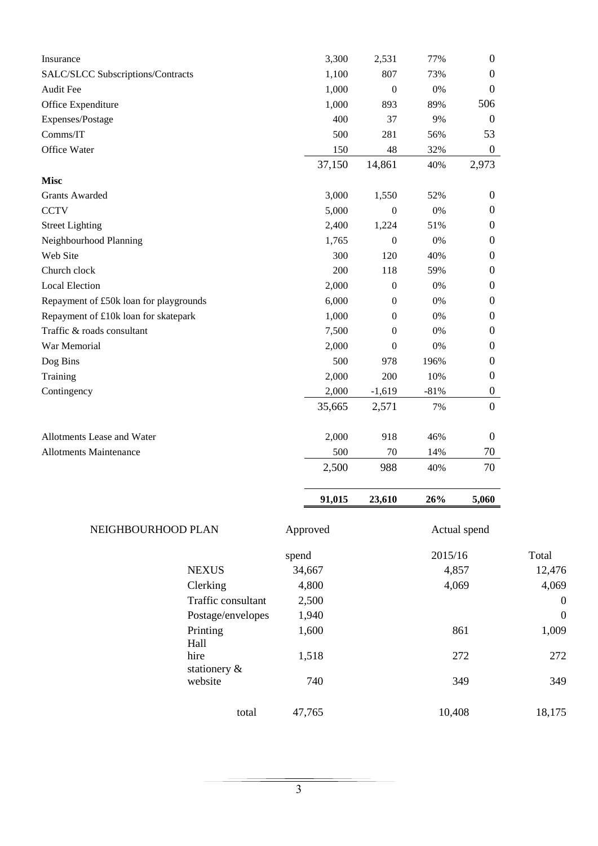| Insurance                              |                         | 3,300    | 2,531            | 77%     | $\boldsymbol{0}$ |             |
|----------------------------------------|-------------------------|----------|------------------|---------|------------------|-------------|
| SALC/SLCC Subscriptions/Contracts      |                         | 1,100    | 807              | 73%     | $\boldsymbol{0}$ |             |
| <b>Audit Fee</b>                       |                         | 1,000    | $\boldsymbol{0}$ | 0%      | 0                |             |
| Office Expenditure                     |                         | 1,000    | 893              | 89%     | 506              |             |
| Expenses/Postage                       |                         | 400      | 37               | 9%      | 0                |             |
| Comms/IT                               |                         | 500      | 281              | 56%     | 53               |             |
| Office Water                           |                         | 150      | 48               | 32%     | $\boldsymbol{0}$ |             |
|                                        |                         | 37,150   | 14,861           | 40%     | 2,973            |             |
| <b>Misc</b>                            |                         |          |                  |         |                  |             |
| <b>Grants Awarded</b>                  |                         | 3,000    | 1,550            | 52%     | $\boldsymbol{0}$ |             |
| <b>CCTV</b>                            |                         | 5,000    | $\boldsymbol{0}$ | 0%      | 0                |             |
| <b>Street Lighting</b>                 |                         | 2,400    | 1,224            | 51%     | $\theta$         |             |
| Neighbourhood Planning                 |                         | 1,765    | $\boldsymbol{0}$ | 0%      | $\theta$         |             |
| Web Site                               |                         | 300      | 120              | 40%     | $\theta$         |             |
| Church clock                           |                         | 200      | 118              | 59%     | $\theta$         |             |
| <b>Local Election</b>                  |                         | 2,000    | $\boldsymbol{0}$ | 0%      | $\theta$         |             |
| Repayment of £50k loan for playgrounds |                         | 6,000    | $\boldsymbol{0}$ | 0%      | $\theta$         |             |
| Repayment of £10k loan for skatepark   |                         | 1,000    | $\boldsymbol{0}$ | 0%      | 0                |             |
| Traffic & roads consultant             |                         | 7,500    | $\boldsymbol{0}$ | 0%      | $\theta$         |             |
| War Memorial                           |                         | 2,000    | $\boldsymbol{0}$ | 0%      | $\theta$         |             |
| Dog Bins                               |                         | 500      | 978              | 196%    | 0                |             |
| Training                               |                         | 2,000    | 200              | 10%     | $\boldsymbol{0}$ |             |
| Contingency                            |                         | 2,000    | $-1,619$         | $-81%$  | $\boldsymbol{0}$ |             |
|                                        |                         | 35,665   | 2,571            | 7%      | $\boldsymbol{0}$ |             |
| Allotments Lease and Water             |                         | 2,000    | 918              | 46%     | $\boldsymbol{0}$ |             |
| <b>Allotments Maintenance</b>          |                         | 500      | 70               | 14%     | 70               |             |
|                                        |                         | 2,500    | 988              | 40%     | 70               |             |
|                                        |                         | 91,015   | 23,610           | 26%     | 5,060            |             |
| NEIGHBOURHOOD PLAN                     |                         | Approved |                  |         | Actual spend     |             |
|                                        |                         | spend    |                  | 2015/16 |                  | Total       |
|                                        | <b>NEXUS</b>            | 34,667   |                  | 4,857   |                  | 12,476      |
|                                        | Clerking                | 4,800    |                  | 4,069   |                  | 4,069       |
|                                        | Traffic consultant      | 2,500    |                  |         |                  | $\mathbf 0$ |
|                                        | Postage/envelopes       | 1,940    |                  |         |                  | $\mathbf 0$ |
|                                        | Printing                | 1,600    |                  |         | 861              | 1,009       |
|                                        | Hall<br>hire            | 1,518    |                  |         | 272              | 272         |
|                                        | stationery &<br>website | 740      |                  |         | 349              | 349         |
|                                        | total                   | 47,765   |                  | 10,408  |                  | 18,175      |